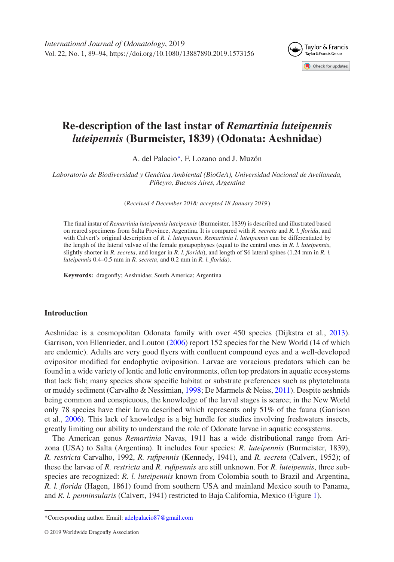*International Journal of Odonatology*, 2019 Vol. 22, No. 1, 89–94, https:*//*doi.org*/*10.1080*/*13887890.2019.1573156



# **Re-description of the last instar of** *Remartinia luteipennis luteipennis* **(Burmeister, 1839) (Odonata: Aeshnidae)**

A. del Palacio[∗](#page-0-0), F. Lozano and J. Muzón

*Laboratorio de Biodiversidad y Genética Ambiental (BioGeA), Universidad Nacional de Avellaneda, Piñeyro, Buenos Aires, Argentina*

(*Received 4 December 2018; accepted 18 January 2019* )

The final instar of *Remartinia luteipennis luteipennis* (Burmeister, 1839) is described and illustrated based on reared specimens from Salta Province, Argentina. It is compared with *R. secreta* and *R. l. florida*, and with Calvert's original description of *R. l. luteipennis*. *Remartinia l. luteipennis* can be differentiated by the length of the lateral valvae of the female gonapophyses (equal to the central ones in *R. l. luteipennis*, slightly shorter in *R. secreta*, and longer in *R. l. florida*), and length of S6 lateral spines (1.24 mm in *R. l. luteipennis* 0.4–0.5 mm in *R. secreta*, and 0.2 mm in *R. l. florida*).

**Keywords:** dragonfly; Aeshnidae; South America; Argentina

#### **Introduction**

Aeshnidae is a cosmopolitan Odonata family with over 450 species (Dijkstra et al., [2013\)](#page-5-0). Garrison, von Ellenrieder, and Louton [\(2006\)](#page-5-1) report 152 species for the New World (14 of which are endemic). Adults are very good flyers with confluent compound eyes and a well-developed ovipositor modified for endophytic oviposition. Larvae are voracious predators which can be found in a wide variety of lentic and lotic environments, often top predators in aquatic ecosystems that lack fish; many species show specific habitat or substrate preferences such as phytotelmata or muddy sediment (Carvalho & Nessimian, [1998;](#page-5-2) De Marmels & Neiss, [2011\)](#page-5-3). Despite aeshnids being common and conspicuous, the knowledge of the larval stages is scarce; in the New World only 78 species have their larva described which represents only 51% of the fauna (Garrison et al., [2006\)](#page-5-1). This lack of knowledge is a big hurdle for studies involving freshwaters insects, greatly limiting our ability to understand the role of Odonate larvae in aquatic ecosystems.

The American genus *Remartinia* Navas, 1911 has a wide distributional range from Arizona (USA) to Salta (Argentina). It includes four species: *R*. *luteipennis* (Burmeister, 1839), *R. restricta* Carvalho, 1992, *R. rufipennis* (Kennedy, 1941), and *R. secreta* (Calvert, 1952); of these the larvae of *R. restricta* and *R. rufipennis* are still unknown. For *R. luteipennis*, three subspecies are recognized: *R. l. luteipennis* known from Colombia south to Brazil and Argentina, *R. l. florida* (Hagen, 1861) found from southern USA and mainland Mexico south to Panama, and *R. l. penninsularis* (Calvert, 1941) restricted to Baja California, Mexico (Figure [1\)](#page-1-0).

<span id="page-0-0"></span><sup>\*</sup>Corresponding author. Email: [adelpalacio87@gmail.com](mailto:adelpalacio87@gmail.com)

<sup>© 2019</sup> Worldwide Dragonfly Association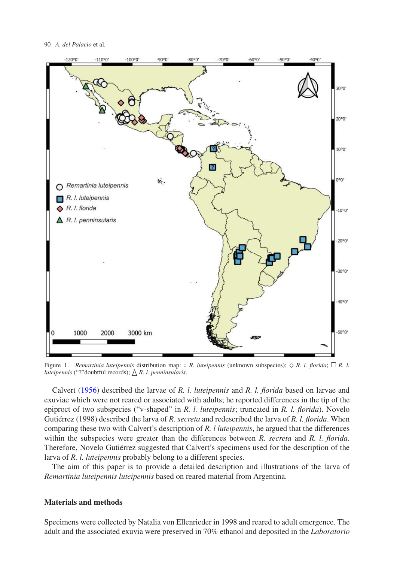#### 90 *A. del Palacio* et al.



<span id="page-1-0"></span>Figure 1. *Remartinia luteipennis* distribution map:  $\circ$  *R. luteipennis* (unknown subspecies);  $\Diamond$  *R. l. florida*;  $\Box$  *R. l. luteipennis* ("?"doubtful records); △ R. l. penninsularis.

Calvert [\(1956\)](#page-5-4) described the larvae of *R. l. luteipennis* and *R. l. florida* based on larvae and exuviae which were not reared or associated with adults; he reported differences in the tip of the epiproct of two subspecies ("v-shaped" in *R. l. luteipennis*; truncated in *R. l. florida*). Novelo Gutiérrez (1998) described the larva of *R. secreta* and redescribed the larva of *R. l. florida*. When comparing these two with Calvert's description of *R. l luteipennis*, he argued that the differences within the subspecies were greater than the differences between *R. secreta* and *R. l. florida*. Therefore, Novelo Gutiérrez suggested that Calvert's specimens used for the description of the larva of *R. l. luteipennis* probably belong to a different species.

The aim of this paper is to provide a detailed description and illustrations of the larva of *Remartinia luteipennis luteipennis* based on reared material from Argentina.

### **Materials and methods**

Specimens were collected by Natalia von Ellenrieder in 1998 and reared to adult emergence. The adult and the associated exuvia were preserved in 70% ethanol and deposited in the *Laboratorio*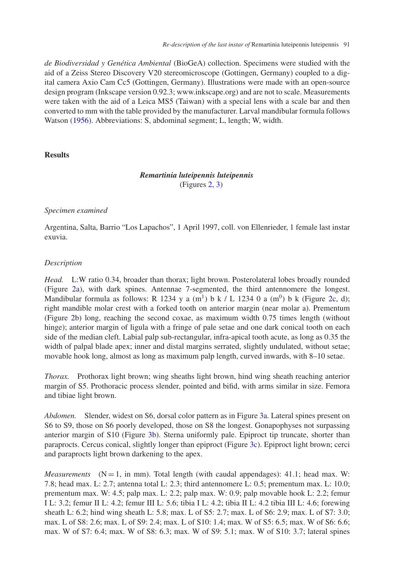*de Biodiversidad y Genética Ambiental* (BioGeA) collection. Specimens were studied with the aid of a Zeiss Stereo Discovery V20 stereomicroscope (Gottingen, Germany) coupled to a digital camera Axio Cam Cc5 (Gottingen, Germany). Illustrations were made with an open-source design program (Inkscape version 0.92.3; www.inkscape.org) and are not to scale. Measurements were taken with the aid of a Leica MS5 (Taiwan) with a special lens with a scale bar and then converted to mm with the table provided by the manufacturer. Larval mandibular formula follows Watson [\(1956\)](#page-5-5). Abbreviations: S, abdominal segment; L, length; W, width.

#### **Results**

## *Remartinia luteipennis luteipennis* (Figures [2,](#page-3-0) [3\)](#page-4-0)

#### *Specimen examined*

Argentina, Salta, Barrio "Los Lapachos", 1 April 1997, coll. von Ellenrieder, 1 female last instar exuvia.

## *Description*

*Head.* L:W ratio 0.34, broader than thorax; light brown. Posterolateral lobes broadly rounded (Figure [2a](#page-3-0)), with dark spines. Antennae 7-segmented, the third antennomere the longest. Mandibular formula as follows: R 1234 y a  $(m^1)$  b k / L 1234 0 a  $(m^0)$  b k (Figure [2c](#page-3-0), d); right mandible molar crest with a forked tooth on anterior margin (near molar a). Prementum (Figure [2b](#page-3-0)) long, reaching the second coxae, as maximum width 0.75 times length (without hinge); anterior margin of ligula with a fringe of pale setae and one dark conical tooth on each side of the median cleft. Labial palp sub-rectangular, infra-apical tooth acute, as long as 0.35 the width of palpal blade apex; inner and distal margins serrated, slightly undulated, without setae; movable hook long, almost as long as maximum palp length, curved inwards, with 8–10 setae.

*Thorax.* Prothorax light brown; wing sheaths light brown, hind wing sheath reaching anterior margin of S5. Prothoracic process slender, pointed and bifid, with arms similar in size. Femora and tibiae light brown.

*Abdomen.* Slender, widest on S6, dorsal color pattern as in Figure [3a](#page-4-0). Lateral spines present on S6 to S9, those on S6 poorly developed, those on S8 the longest. Gonapophyses not surpassing anterior margin of S10 (Figure [3b](#page-4-0)). Sterna uniformly pale. Epiproct tip truncate, shorter than paraprocts. Cercus conical, slightly longer than epiproct (Figure [3c](#page-4-0)). Epiproct light brown; cerci and paraprocts light brown darkening to the apex.

*Measurements*  $(N=1, \text{ in mm})$ . Total length (with caudal appendages): 41.1; head max. W: 7.8; head max. L: 2.7; antenna total L: 2.3; third antennomere L: 0.5; prementum max. L: 10.0; prementum max. W: 4.5; palp max. L: 2.2; palp max. W: 0.9; palp movable hook L: 2.2; femur I L: 3.2; femur II L: 4.2; femur III L: 5.6; tibia I L: 4.2; tibia II L: 4.2 tibia III L: 4.6; forewing sheath L: 6.2; hind wing sheath L: 5.8; max. L of S5: 2.7; max. L of S6: 2.9; max. L of S7: 3.0; max. L of S8: 2.6; max. L of S9: 2.4; max. L of S10: 1.4; max. W of S5: 6.5; max. W of S6: 6.6; max. W of S7: 6.4; max. W of S8: 6.3; max. W of S9: 5.1; max. W of S10: 3.7; lateral spines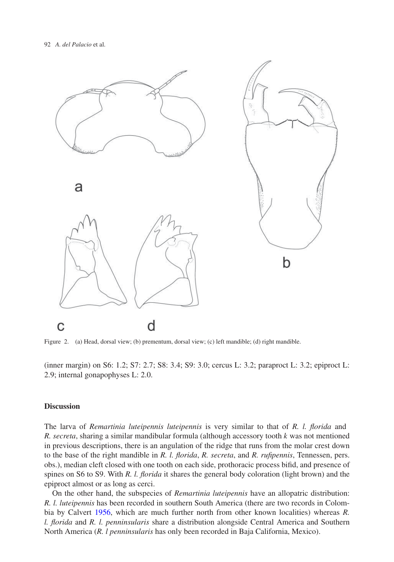

<span id="page-3-0"></span>Figure 2. (a) Head, dorsal view; (b) prementum, dorsal view; (c) left mandible; (d) right mandible.

(inner margin) on S6: 1.2; S7: 2.7; S8: 3.4; S9: 3.0; cercus L: 3.2; paraproct L: 3.2; epiproct L: 2.9; internal gonapophyses L: 2.0.

### **Discussion**

The larva of *Remartinia luteipennis luteipennis* is very similar to that of *R. l. florida* and *R. secreta*, sharing a similar mandibular formula (although accessory tooth *k* was not mentioned in previous descriptions, there is an angulation of the ridge that runs from the molar crest down to the base of the right mandible in *R. l. florida*, *R. secreta*, and *R. rufipennis*, Tennessen, pers. obs.), median cleft closed with one tooth on each side, prothoracic process bifid, and presence of spines on S6 to S9. With *R. l. florida* it shares the general body coloration (light brown) and the epiproct almost or as long as cerci.

On the other hand, the subspecies of *Remartinia luteipennis* have an allopatric distribution: *R. l. luteipennis* has been recorded in southern South America (there are two records in Colombia by Calvert [1956,](#page-5-4) which are much further north from other known localities) whereas *R. l. florida* and *R. l. penninsularis* share a distribution alongside Central America and Southern North America (*R. l penninsularis* has only been recorded in Baja California, Mexico).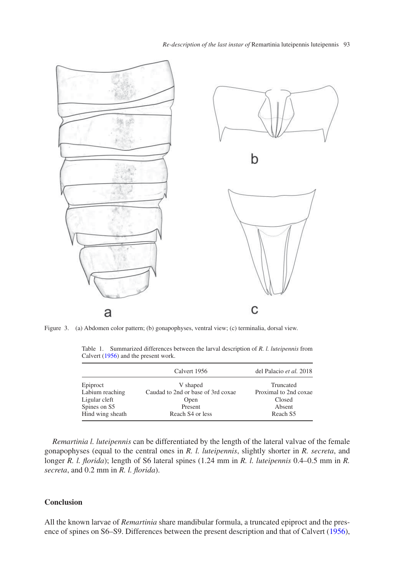

Figure 3. (a) Abdomen color pattern; (b) gonapophyses, ventral view; (c) terminalia, dorsal view.

|                  | Calvert 1956                       | del Palacio et al. 2018 |
|------------------|------------------------------------|-------------------------|
| Epiproct         | V shaped                           | Truncated               |
| Labium reaching  | Caudad to 2nd or base of 3rd coxae | Proximal to 2nd coxae   |
| Ligular cleft    | Open                               | Closed                  |
| Spines on S5     | Present                            | Absent                  |
| Hind wing sheath | Reach S <sub>4</sub> or less       | Reach S5                |

<span id="page-4-1"></span><span id="page-4-0"></span>Table 1. Summarized differences between the larval description of *R. l. luteipennis* from Calvert [\(1956\)](#page-5-4) and the present work.

*Remartinia l. luteipennis* can be differentiated by the length of the lateral valvae of the female gonapophyses (equal to the central ones in *R. l. luteipennis*, slightly shorter in *R. secreta*, and longer *R. l. florida*); length of S6 lateral spines (1.24 mm in *R. l. luteipennis* 0.4–0.5 mm in *R. secreta*, and 0.2 mm in *R. l. florida*).

## **Conclusion**

All the known larvae of *Remartinia* share mandibular formula, a truncated epiproct and the presence of spines on S6–S9. Differences between the present description and that of Calvert [\(1956\)](#page-5-4),